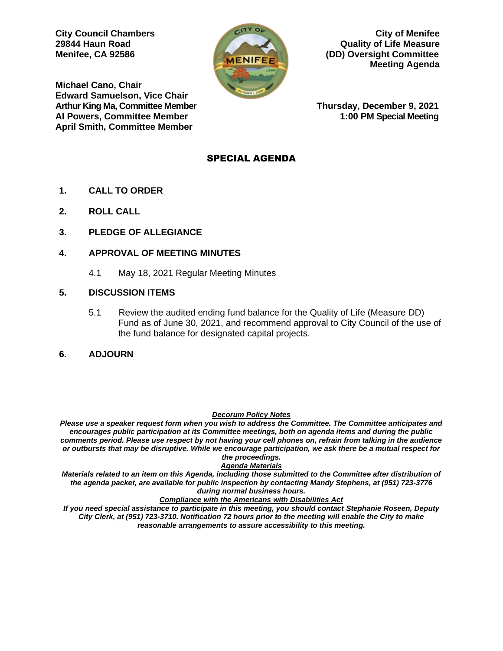

**City Council Chambers City of Menifee 29844 Haun Road Quality of Life Measure Menifee, CA 92586 MENIFEE** (DD) Oversight Committee  **Meeting Agenda**

**Michael Cano, Chair Edward Samuelson, Vice Chair Arthur King Ma, Committee Member Thursday, December 9, 2021 Al Powers, Committee Member 1:00 PM Special Meeting April Smith, Committee Member**

# SPECIAL AGENDA

- **1. CALL TO ORDER**
- **2. ROLL CALL**
- **3. PLEDGE OF ALLEGIANCE**

## **4. APPROVAL OF MEETING MINUTES**

4.1 May 18, 2021 Regular Meeting Minutes

#### **5. DISCUSSION ITEMS**

5.1 Review the audited ending fund balance for the Quality of Life (Measure DD) Fund as of June 30, 2021, and recommend approval to City Council of the use of the fund balance for designated capital projects.

#### **6. ADJOURN**

#### *Decorum Policy Notes*

*Please use a speaker request form when you wish to address the Committee. The Committee anticipates and encourages public participation at its Committee meetings, both on agenda items and during the public comments period. Please use respect by not having your cell phones on, refrain from talking in the audience or outbursts that may be disruptive. While we encourage participation, we ask there be a mutual respect for the proceedings.*

#### *Agenda Materials*

*Materials related to an item on this Agenda, including those submitted to the Committee after distribution of the agenda packet, are available for public inspection by contacting Mandy Stephens, at (951) 723-3776 during normal business hours.* 

#### *Compliance with the Americans with Disabilities Act*

*If you need special assistance to participate in this meeting, you should contact Stephanie Roseen, Deputy City Clerk, at (951) 723-3710. Notification 72 hours prior to the meeting will enable the City to make reasonable arrangements to assure accessibility to this meeting.*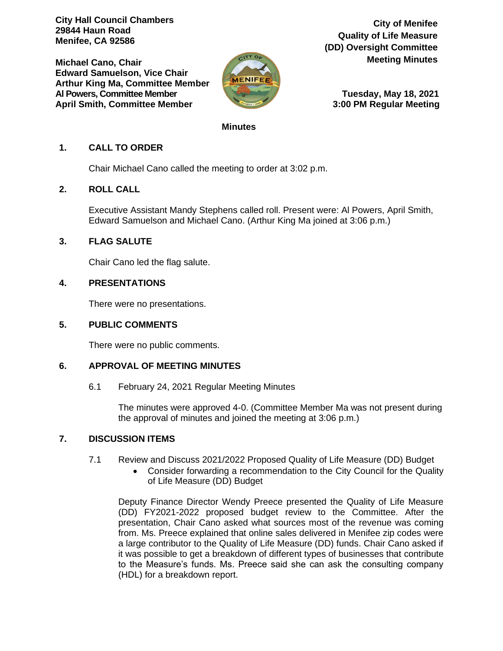**City Hall Council Chambers 29844 Haun Road Menifee, CA 92586** 

**Michael Cano, Chair Edward Samuelson, Vice Chair Arthur King Ma, Committee Member Al Powers, Committee Member Tuesday, May 18, 2021 April Smith, Committee Member 3:00 PM Regular Meeting**



**City of Menifee Quality of Life Measure (DD) Oversight Committee Meeting Minutes**

#### **Minutes**

## **1. CALL TO ORDER**

Chair Michael Cano called the meeting to order at 3:02 p.m.

## **2. ROLL CALL**

Executive Assistant Mandy Stephens called roll. Present were: Al Powers, April Smith, Edward Samuelson and Michael Cano. (Arthur King Ma joined at 3:06 p.m.)

## **3. FLAG SALUTE**

Chair Cano led the flag salute.

## **4. PRESENTATIONS**

There were no presentations.

#### **5. PUBLIC COMMENTS**

There were no public comments.

## **6. APPROVAL OF MEETING MINUTES**

6.1 February 24, 2021 Regular Meeting Minutes

The minutes were approved 4-0. (Committee Member Ma was not present during the approval of minutes and joined the meeting at 3:06 p.m.)

## **7. DISCUSSION ITEMS**

- 7.1 Review and Discuss 2021/2022 Proposed Quality of Life Measure (DD) Budget
	- Consider forwarding a recommendation to the City Council for the Quality of Life Measure (DD) Budget

Deputy Finance Director Wendy Preece presented the Quality of Life Measure (DD) FY2021-2022 proposed budget review to the Committee. After the presentation, Chair Cano asked what sources most of the revenue was coming from. Ms. Preece explained that online sales delivered in Menifee zip codes were a large contributor to the Quality of Life Measure (DD) funds. Chair Cano asked if it was possible to get a breakdown of different types of businesses that contribute to the Measure's funds. Ms. Preece said she can ask the consulting company (HDL) for a breakdown report.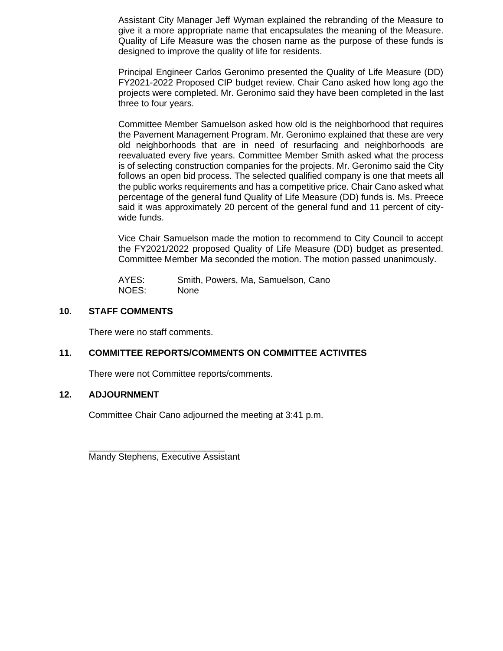Assistant City Manager Jeff Wyman explained the rebranding of the Measure to give it a more appropriate name that encapsulates the meaning of the Measure. Quality of Life Measure was the chosen name as the purpose of these funds is designed to improve the quality of life for residents.

Principal Engineer Carlos Geronimo presented the Quality of Life Measure (DD) FY2021-2022 Proposed CIP budget review. Chair Cano asked how long ago the projects were completed. Mr. Geronimo said they have been completed in the last three to four years.

Committee Member Samuelson asked how old is the neighborhood that requires the Pavement Management Program. Mr. Geronimo explained that these are very old neighborhoods that are in need of resurfacing and neighborhoods are reevaluated every five years. Committee Member Smith asked what the process is of selecting construction companies for the projects. Mr. Geronimo said the City follows an open bid process. The selected qualified company is one that meets all the public works requirements and has a competitive price. Chair Cano asked what percentage of the general fund Quality of Life Measure (DD) funds is. Ms. Preece said it was approximately 20 percent of the general fund and 11 percent of citywide funds.

Vice Chair Samuelson made the motion to recommend to City Council to accept the FY2021/2022 proposed Quality of Life Measure (DD) budget as presented. Committee Member Ma seconded the motion. The motion passed unanimously.

AYES: Smith, Powers, Ma, Samuelson, Cano NOES: None

## **10. STAFF COMMENTS**

There were no staff comments.

## **11. COMMITTEE REPORTS/COMMENTS ON COMMITTEE ACTIVITES**

There were not Committee reports/comments.

## **12. ADJOURNMENT**

Committee Chair Cano adjourned the meeting at 3:41 p.m.

Mandy Stephens, Executive Assistant

 $\frac{1}{\sqrt{2}}$  ,  $\frac{1}{\sqrt{2}}$  ,  $\frac{1}{\sqrt{2}}$  ,  $\frac{1}{\sqrt{2}}$  ,  $\frac{1}{\sqrt{2}}$  ,  $\frac{1}{\sqrt{2}}$  ,  $\frac{1}{\sqrt{2}}$  ,  $\frac{1}{\sqrt{2}}$  ,  $\frac{1}{\sqrt{2}}$  ,  $\frac{1}{\sqrt{2}}$  ,  $\frac{1}{\sqrt{2}}$  ,  $\frac{1}{\sqrt{2}}$  ,  $\frac{1}{\sqrt{2}}$  ,  $\frac{1}{\sqrt{2}}$  ,  $\frac{1}{\sqrt{2}}$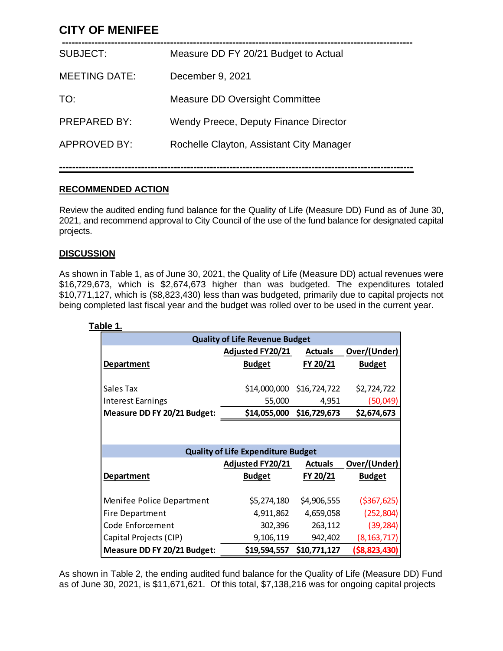# **CITY OF MENIFEE**

| SUBJECT:             | Measure DD FY 20/21 Budget to Actual     |
|----------------------|------------------------------------------|
| <b>MEETING DATE:</b> | December 9, 2021                         |
| TO:                  | Measure DD Oversight Committee           |
| <b>PREPARED BY:</b>  | Wendy Preece, Deputy Finance Director    |
| APPROVED BY:         | Rochelle Clayton, Assistant City Manager |
|                      |                                          |

## **RECOMMENDED ACTION**

Review the audited ending fund balance for the Quality of Life (Measure DD) Fund as of June 30, 2021, and recommend approval to City Council of the use of the fund balance for designated capital projects.

## **DISCUSSION**

As shown in Table 1, as of June 30, 2021, the Quality of Life (Measure DD) actual revenues were \$16,729,673, which is \$2,674,673 higher than was budgeted. The expenditures totaled \$10,771,127, which is (\$8,823,430) less than was budgeted, primarily due to capital projects not being completed last fiscal year and the budget was rolled over to be used in the current year.

| <b>Quality of Life Revenue Budget</b>     |                         |                           |                               |  |  |  |  |  |  |
|-------------------------------------------|-------------------------|---------------------------|-------------------------------|--|--|--|--|--|--|
|                                           | <b>Adjusted FY20/21</b> | Actuals                   | Over/(Under)                  |  |  |  |  |  |  |
| <b>Department</b>                         | <b>Budget</b>           | FY 20/21                  | <b>Budget</b>                 |  |  |  |  |  |  |
| Sales Tax                                 |                         | \$14,000,000 \$16,724,722 | \$2,724,722                   |  |  |  |  |  |  |
|                                           |                         |                           |                               |  |  |  |  |  |  |
| <b>Interest Earnings</b>                  | 55,000                  | 4,951                     | (50,049)                      |  |  |  |  |  |  |
| Measure DD FY 20/21 Budget:               |                         | \$14,055,000 \$16,729,673 | \$2,674,673                   |  |  |  |  |  |  |
| <b>Quality of Life Expenditure Budget</b> |                         |                           |                               |  |  |  |  |  |  |
|                                           | <b>Adjusted FY20/21</b> |                           |                               |  |  |  |  |  |  |
|                                           |                         | Actuals                   |                               |  |  |  |  |  |  |
| <b>Department</b>                         | <b>Budget</b>           | FY 20/21                  | Over/(Under)<br><b>Budget</b> |  |  |  |  |  |  |
| Menifee Police Department                 | \$5,274,180             | \$4,906,555               | ( \$367, 625)                 |  |  |  |  |  |  |
| <b>Fire Department</b>                    | 4,911,862               | 4,659,058                 | (252, 804)                    |  |  |  |  |  |  |
| Code Enforcement                          | 302,396                 | 263,112                   | (39, 284)                     |  |  |  |  |  |  |
| Capital Projects (CIP)                    | 9,106,119               | 942,402                   | (8, 163, 717)                 |  |  |  |  |  |  |

As shown in Table 2, the ending audited fund balance for the Quality of Life (Measure DD) Fund as of June 30, 2021, is \$11,671,621. Of this total, \$7,138,216 was for ongoing capital projects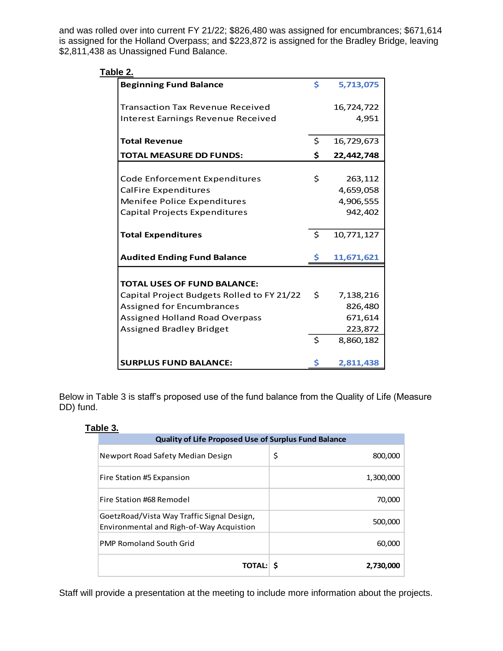and was rolled over into current FY 21/22; \$826,480 was assigned for encumbrances; \$671,614 is assigned for the Holland Overpass; and \$223,872 is assigned for the Bradley Bridge, leaving \$2,811,438 as Unassigned Fund Balance.

## **Table 2.**

|          | <b>Beginning Fund Balance</b>                                                                  | \$<br>5,713,075  |                   |
|----------|------------------------------------------------------------------------------------------------|------------------|-------------------|
|          | <b>Transaction Tax Revenue Received</b>                                                        | 16,724,722       |                   |
|          | <b>Interest Earnings Revenue Received</b>                                                      | 4,951            |                   |
|          | <b>Total Revenue</b>                                                                           | \$<br>16,729,673 |                   |
|          |                                                                                                |                  |                   |
|          | <b>TOTAL MEASURE DD FUNDS:</b>                                                                 | \$<br>22,442,748 |                   |
|          | Code Enforcement Expenditures                                                                  | \$<br>263,112    |                   |
|          | <b>CalFire Expenditures</b>                                                                    | 4,659,058        |                   |
|          | Menifee Police Expenditures                                                                    | 4,906,555        |                   |
|          | Capital Projects Expenditures                                                                  | 942,402          |                   |
|          | <b>Total Expenditures</b>                                                                      | \$<br>10,771,127 |                   |
|          | <b>Audited Ending Fund Balance</b>                                                             | \$<br>11,671,621 |                   |
|          |                                                                                                |                  |                   |
|          | <b>TOTAL USES OF FUND BALANCE:</b>                                                             |                  |                   |
|          | Capital Project Budgets Rolled to FY 21/22                                                     | \$<br>7,138,216  |                   |
|          | <b>Assigned for Encumbrances</b>                                                               | 826,480          |                   |
|          | <b>Assigned Holland Road Overpass</b>                                                          | 671,614          |                   |
|          | <b>Assigned Bradley Bridget</b>                                                                | 223,872          |                   |
|          |                                                                                                |                  |                   |
|          |                                                                                                | \$<br>8,860,182  |                   |
|          | <b>SURPLUS FUND BALANCE:</b>                                                                   | \$<br>2,811,438  |                   |
|          | Below in Table 3 is staff's proposed use of the fund balance from the Quality of Life (Measure |                  |                   |
| Table 3. | Quality of Life Proposed Use of Surplus Fund Balance                                           |                  |                   |
|          | \$<br>Newport Road Safety Median Design                                                        |                  | 800,000           |
|          | Fire Station #5 Expansion                                                                      | 1,300,000        |                   |
|          | Fire Station #68 Remodel                                                                       |                  |                   |
|          | GoetzRoad/Vista Way Traffic Signal Design,                                                     |                  |                   |
|          | Environmental and Righ-of-Way Acquistion                                                       |                  | 70,000<br>500,000 |
|          | PMP Romoland South Grid                                                                        |                  | 60,000            |

# **Table 3.**

| <b>Quality of Life Proposed Use of Surplus Fund Balance</b>                            |               |
|----------------------------------------------------------------------------------------|---------------|
| Newport Road Safety Median Design                                                      | \$<br>800,000 |
| Fire Station #5 Expansion                                                              | 1,300,000     |
| Fire Station #68 Remodel                                                               | 70,000        |
| GoetzRoad/Vista Way Traffic Signal Design,<br>Environmental and Righ-of-Way Acquistion | 500,000       |
| <b>PMP Romoland South Grid</b>                                                         | 60,000        |
| <b>TOTAL:</b>                                                                          | 2,730,000     |